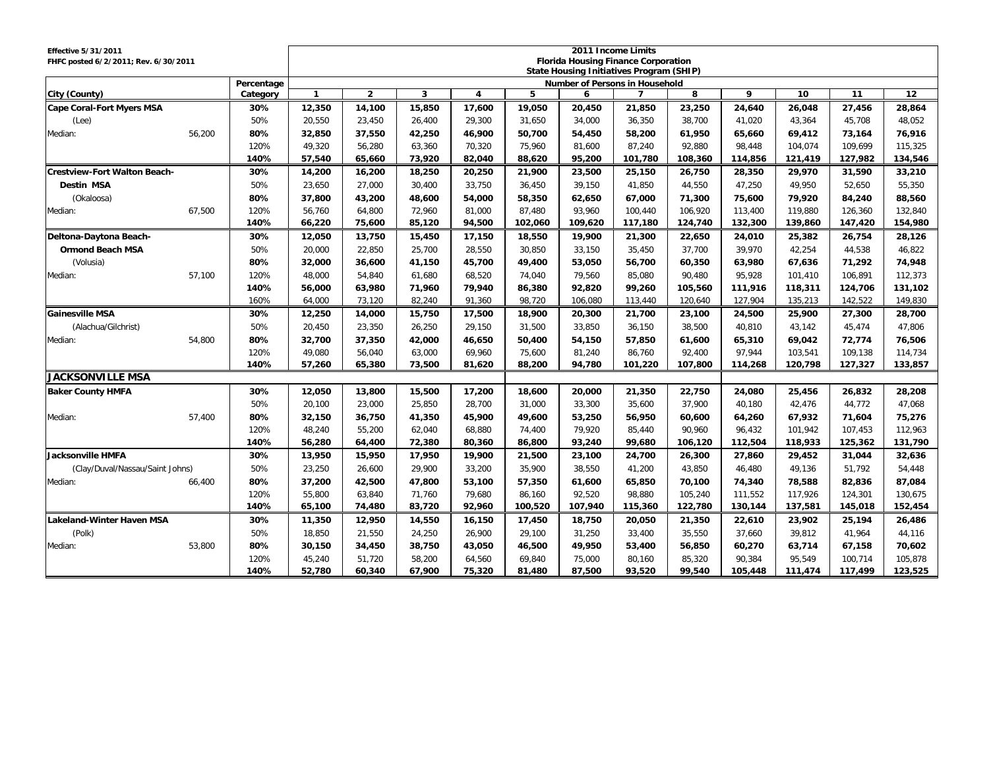| <b>Effective 5/31/2011</b>           |        |            |              |                |        |        |         |         | 2011 Income Limits                              |         |         |         |         |         |
|--------------------------------------|--------|------------|--------------|----------------|--------|--------|---------|---------|-------------------------------------------------|---------|---------|---------|---------|---------|
| FHFC posted 6/2/2011; Rev. 6/30/2011 |        |            |              |                |        |        |         |         | <b>Florida Housing Finance Corporation</b>      |         |         |         |         |         |
|                                      |        |            |              |                |        |        |         |         | <b>State Housing Initiatives Program (SHIP)</b> |         |         |         |         |         |
|                                      |        | Percentage |              |                |        |        |         |         | Number of Persons in Household                  |         |         |         |         |         |
| City (County)                        |        | Category   | $\mathbf{1}$ | $\overline{2}$ | 3      | 4      | 5       | 6       | 7                                               | 8       | 9       | 10      | 11      | 12      |
| <b>Cape Coral-Fort Myers MSA</b>     |        | 30%        | 12,350       | 14,100         | 15,850 | 17,600 | 19,050  | 20,450  | 21,850                                          | 23,250  | 24,640  | 26,048  | 27,456  | 28,864  |
| (Lee)                                |        | 50%        | 20,550       | 23,450         | 26,400 | 29,300 | 31,650  | 34,000  | 36,350                                          | 38,700  | 41,020  | 43,364  | 45,708  | 48,052  |
| Median:                              | 56.200 | 80%        | 32,850       | 37,550         | 42,250 | 46,900 | 50,700  | 54,450  | 58,200                                          | 61,950  | 65,660  | 69,412  | 73,164  | 76,916  |
|                                      |        | 120%       | 49.320       | 56.280         | 63.360 | 70,320 | 75.960  | 81.600  | 87.240                                          | 92.880  | 98.448  | 104.074 | 109.699 | 115.325 |
|                                      |        | 140%       | 57,540       | 65,660         | 73,920 | 82,040 | 88,620  | 95,200  | 101,780                                         | 108,360 | 114,856 | 121,419 | 127,982 | 134,546 |
| <b>Crestview-Fort Walton Beach-</b>  |        | 30%        | 14,200       | 16,200         | 18,250 | 20,250 | 21,900  | 23,500  | 25,150                                          | 26,750  | 28,350  | 29,970  | 31,590  | 33,210  |
| <b>Destin MSA</b>                    |        | 50%        | 23,650       | 27,000         | 30,400 | 33,750 | 36,450  | 39,150  | 41,850                                          | 44,550  | 47,250  | 49,950  | 52,650  | 55,350  |
| (Okaloosa)                           |        | 80%        | 37,800       | 43,200         | 48,600 | 54,000 | 58,350  | 62,650  | 67,000                                          | 71,300  | 75,600  | 79,920  | 84,240  | 88,560  |
| Median:                              | 67,500 | 120%       | 56,760       | 64,800         | 72,960 | 81,000 | 87,480  | 93,960  | 100,440                                         | 106,920 | 113,400 | 119,880 | 126,360 | 132,840 |
|                                      |        | 140%       | 66,220       | 75,600         | 85,120 | 94,500 | 102,060 | 109,620 | 117,180                                         | 124,740 | 132,300 | 139,860 | 147,420 | 154,980 |
| Deltona-Daytona Beach-               |        | 30%        | 12,050       | 13,750         | 15,450 | 17,150 | 18,550  | 19,900  | 21,300                                          | 22,650  | 24,010  | 25,382  | 26,754  | 28,126  |
| <b>Ormond Beach MSA</b>              |        | 50%        | 20,000       | 22,850         | 25,700 | 28,550 | 30,850  | 33,150  | 35,450                                          | 37,700  | 39,970  | 42,254  | 44,538  | 46,822  |
| (Volusia)                            |        | 80%        | 32,000       | 36,600         | 41,150 | 45,700 | 49,400  | 53,050  | 56,700                                          | 60,350  | 63,980  | 67,636  | 71,292  | 74,948  |
| Median:                              | 57.100 | 120%       | 48.000       | 54.840         | 61.680 | 68.520 | 74.040  | 79.560  | 85.080                                          | 90.480  | 95.928  | 101.410 | 106.891 | 112.373 |
|                                      |        | 140%       | 56,000       | 63,980         | 71.960 | 79,940 | 86,380  | 92,820  | 99,260                                          | 105,560 | 111,916 | 118,311 | 124,706 | 131,102 |
|                                      |        | 160%       | 64,000       | 73,120         | 82,240 | 91,360 | 98,720  | 106,080 | 113,440                                         | 120,640 | 127,904 | 135,213 | 142,522 | 149,830 |
| <b>Gainesville MSA</b>               |        | 30%        | 12,250       | 14,000         | 15,750 | 17,500 | 18,900  | 20,300  | 21,700                                          | 23,100  | 24,500  | 25,900  | 27,300  | 28,700  |
| (Alachua/Gilchrist)                  |        | 50%        | 20,450       | 23,350         | 26,250 | 29,150 | 31,500  | 33,850  | 36,150                                          | 38,500  | 40,810  | 43,142  | 45,474  | 47,806  |
| Median:                              | 54.800 | 80%        | 32,700       | 37,350         | 42,000 | 46,650 | 50,400  | 54,150  | 57,850                                          | 61.600  | 65,310  | 69,042  | 72,774  | 76,506  |
|                                      |        | 120%       | 49,080       | 56,040         | 63,000 | 69,960 | 75,600  | 81,240  | 86,760                                          | 92,400  | 97,944  | 103,541 | 109,138 | 114,734 |
|                                      |        | 140%       | 57,260       | 65,380         | 73,500 | 81,620 | 88,200  | 94,780  | 101,220                                         | 107,800 | 114,268 | 120,798 | 127,327 | 133,857 |
| <b>JACKSONVILLE MSA</b>              |        |            |              |                |        |        |         |         |                                                 |         |         |         |         |         |
| <b>Baker County HMFA</b>             |        | 30%        | 12,050       | 13,800         | 15,500 | 17,200 | 18,600  | 20,000  | 21,350                                          | 22,750  | 24,080  | 25,456  | 26,832  | 28,208  |
|                                      |        | 50%        | 20,100       | 23,000         | 25,850 | 28,700 | 31,000  | 33,300  | 35,600                                          | 37.900  | 40.180  | 42,476  | 44,772  | 47,068  |
| Median:                              | 57,400 | 80%        | 32,150       | 36,750         | 41,350 | 45,900 | 49,600  | 53,250  | 56,950                                          | 60,600  | 64,260  | 67,932  | 71,604  | 75,276  |
|                                      |        | 120%       | 48,240       | 55,200         | 62,040 | 68,880 | 74,400  | 79,920  | 85,440                                          | 90,960  | 96,432  | 101,942 | 107,453 | 112,963 |
|                                      |        | 140%       | 56,280       | 64,400         | 72,380 | 80,360 | 86,800  | 93,240  | 99,680                                          | 106,120 | 112,504 | 118,933 | 125,362 | 131,790 |
| Jacksonville HMFA                    |        | 30%        | 13,950       | 15,950         | 17,950 | 19,900 | 21,500  | 23,100  | 24,700                                          | 26,300  | 27,860  | 29,452  | 31,044  | 32,636  |
| (Clay/Duval/Nassau/Saint Johns)      |        | 50%        | 23,250       | 26,600         | 29,900 | 33,200 | 35,900  | 38,550  | 41,200                                          | 43,850  | 46,480  | 49,136  | 51,792  | 54,448  |
| Median:                              | 66,400 | 80%        | 37,200       | 42,500         | 47,800 | 53,100 | 57,350  | 61,600  | 65,850                                          | 70,100  | 74,340  | 78,588  | 82,836  | 87,084  |
|                                      |        | 120%       | 55.800       | 63.840         | 71.760 | 79.680 | 86.160  | 92,520  | 98.880                                          | 105.240 | 111,552 | 117,926 | 124.301 | 130.675 |
|                                      |        | 140%       | 65,100       | 74,480         | 83,720 | 92.960 | 100,520 | 107,940 | 115,360                                         | 122,780 | 130,144 | 137,581 | 145,018 | 152,454 |
| Lakeland-Winter Haven MSA            |        | 30%        | 11,350       | 12,950         | 14,550 | 16,150 | 17,450  | 18,750  | 20,050                                          | 21,350  | 22,610  | 23,902  | 25,194  | 26,486  |
| (Polk)                               |        | 50%        | 18,850       | 21,550         | 24,250 | 26,900 | 29,100  | 31,250  | 33,400                                          | 35,550  | 37,660  | 39,812  | 41,964  | 44,116  |
| Median:                              | 53,800 | 80%        | 30,150       | 34,450         | 38,750 | 43,050 | 46,500  | 49,950  | 53,400                                          | 56,850  | 60,270  | 63,714  | 67,158  | 70,602  |
|                                      |        | 120%       | 45,240       | 51,720         | 58,200 | 64,560 | 69,840  | 75,000  | 80,160                                          | 85,320  | 90,384  | 95,549  | 100,714 | 105,878 |
|                                      |        | 140%       | 52,780       | 60,340         | 67,900 | 75,320 | 81,480  | 87,500  | 93,520                                          | 99,540  | 105,448 | 111,474 | 117,499 | 123,525 |
|                                      |        |            |              |                |        |        |         |         |                                                 |         |         |         |         |         |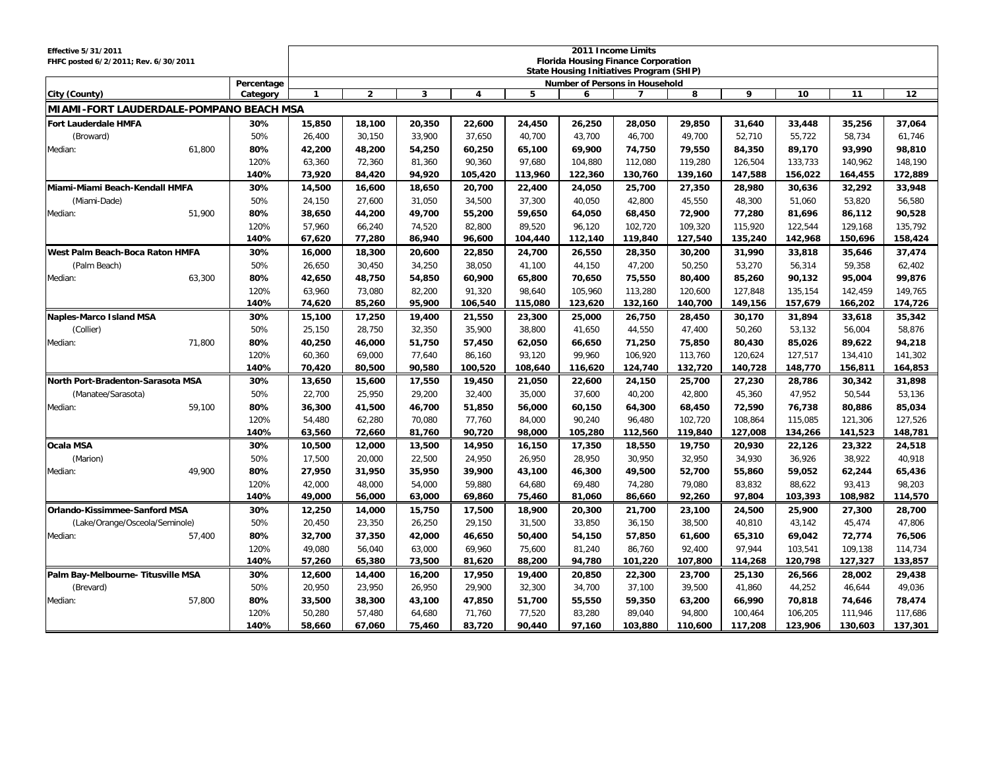| <b>Effective 5/31/2011</b><br>FHFC posted 6/2/2011; Rev. 6/30/2011 |              | 2011 Income Limits<br><b>Florida Housing Finance Corporation</b><br>State Housing Initiatives Program (SHIP) |                  |                  |                  |                  |                                       |                   |                   |                    |                    |                    |                    |
|--------------------------------------------------------------------|--------------|--------------------------------------------------------------------------------------------------------------|------------------|------------------|------------------|------------------|---------------------------------------|-------------------|-------------------|--------------------|--------------------|--------------------|--------------------|
|                                                                    | Percentage   |                                                                                                              |                  |                  |                  |                  | <b>Number of Persons in Household</b> |                   |                   |                    |                    |                    |                    |
| City (County)                                                      | Category     |                                                                                                              | $\overline{2}$   | 3                | 4                | 5                | 6                                     | 7                 | 8                 | 9                  | 10                 | 11                 | 12                 |
| MIAMI-FORT LAUDERDALE-POMPANO BEACH MSA                            |              |                                                                                                              |                  |                  |                  |                  |                                       |                   |                   |                    |                    |                    |                    |
| <b>Fort Lauderdale HMFA</b>                                        | 30%          | 15,850                                                                                                       | 18,100           | 20,350           | 22,600           | 24,450           | 26,250                                | 28,050            | 29,850            | 31,640             | 33,448             | 35,256             | 37,064             |
| (Broward)                                                          | 50%          | 26,400                                                                                                       | 30,150           | 33,900           | 37.650           | 40,700           | 43,700                                | 46,700            | 49.700            | 52,710             | 55,722             | 58,734             | 61,746             |
| 61,800<br>Median:                                                  | 80%          | 42,200                                                                                                       | 48,200           | 54,250           | 60,250           | 65,100           | 69,900                                | 74,750            | 79,550            | 84,350             | 89,170             | 93,990             | 98,810             |
|                                                                    | 120%         | 63,360                                                                                                       | 72,360           | 81.360           | 90,360           | 97,680           | 104,880                               | 112,080           | 119,280           | 126,504            | 133,733            | 140,962            | 148,190            |
|                                                                    | 140%         | 73,920                                                                                                       | 84,420           | 94,920           | 105,420          | 113,960          | 122,360                               | 130,760           | 139,160           | 147,588            | 156,022            | 164,455            | 172,889            |
| Miami-Miami Beach-Kendall HMFA                                     | 30%          | 14,500                                                                                                       | 16,600           | 18,650           | 20,700           | 22,400           | 24,050                                | 25,700            | 27,350            | 28,980             | 30,636             | 32,292             | 33,948             |
| (Miami-Dade)                                                       | 50%          | 24,150                                                                                                       | 27,600           | 31,050           | 34,500           | 37,300           | 40,050                                | 42,800            | 45,550            | 48,300             | 51,060             | 53,820             | 56,580             |
| 51,900<br>Median:                                                  | 80%          | 38,650                                                                                                       | 44,200           | 49,700           | 55,200           | 59,650           | 64,050                                | 68,450            | 72,900            | 77,280             | 81,696             | 86,112             | 90,528             |
|                                                                    | 120%         | 57,960                                                                                                       | 66,240           | 74,520           | 82,800           | 89,520           | 96,120                                | 102,720           | 109,320           | 115,920            | 122,544            | 129,168            | 135,792            |
|                                                                    | 140%         | 67,620                                                                                                       | 77,280           | 86,940           | 96,600           | 104,440          | 112,140                               | 119,840           | 127,540           | 135,240            | 142,968            | 150,696            | 158,424            |
| West Palm Beach-Boca Raton HMFA                                    | 30%          | 16,000                                                                                                       | 18,300           | 20,600           | 22,850           | 24,700           | 26,550                                | 28,350            | 30,200            | 31,990             | 33,818             | 35,646             | 37,474             |
| (Palm Beach)                                                       | 50%          | 26,650                                                                                                       | 30,450           | 34,250           | 38,050           | 41,100           | 44,150                                | 47,200            | 50,250            | 53,270             | 56,314             | 59,358             | 62,402             |
| Median:<br>63,300                                                  | 80%          | 42,650                                                                                                       | 48,750           | 54,850           | 60,900           | 65,800           | 70,650                                | 75,550            | 80,400            | 85,260             | 90,132             | 95,004             | 99,876             |
|                                                                    | 120%         | 63,960                                                                                                       | 73,080           | 82,200           | 91,320           | 98,640           | 105,960                               | 113,280           | 120,600           | 127,848            | 135,154            | 142,459            | 149,765            |
|                                                                    | 140%         | 74,620                                                                                                       | 85,260           | 95.900           | 106,540          | 115,080          | 123,620                               | 132,160           | 140,700           | 149,156            | 157,679            | 166,202            | 174,726            |
| Naples-Marco Island MSA                                            | 30%          | 15,100                                                                                                       | 17,250           | 19,400           | 21,550           | 23,300           | 25,000                                | 26,750            | 28,450            | 30,170             | 31,894             | 33,618             | 35,342             |
| (Collier)                                                          | 50%          | 25,150                                                                                                       | 28,750           | 32,350           | 35,900           | 38,800           | 41,650                                | 44,550            | 47,400            | 50,260             | 53,132             | 56,004             | 58,876             |
| 71,800<br>Median:                                                  | 80%          | 40,250                                                                                                       | 46,000           | 51,750           | 57,450           | 62,050           | 66,650                                | 71,250            | 75,850            | 80,430             | 85,026             | 89,622             | 94,218             |
|                                                                    | 120%         | 60,360                                                                                                       | 69,000           | 77,640           | 86,160           | 93,120           | 99,960                                | 106,920           | 113,760           | 120,624            | 127,517            | 134,410            | 141,302            |
|                                                                    | 140%         | 70,420                                                                                                       | 80,500           | 90,580           | 100,520          | 108,640          | 116,620                               | 124,740           | 132,720           | 140,728            | 148,770            | 156,811            | 164,853            |
| North Port-Bradenton-Sarasota MSA                                  | 30%          | 13,650                                                                                                       | 15,600           | 17,550           | 19,450           | 21,050           | 22,600                                | 24,150            | 25,700            | 27,230             | 28,786             | 30,342             | 31,898             |
| (Manatee/Sarasota)                                                 | 50%          | 22,700                                                                                                       | 25,950           | 29,200           | 32,400           | 35,000           | 37,600                                | 40,200            | 42,800            | 45,360             | 47,952             | 50,544             | 53,136             |
| 59,100<br>Median:                                                  | 80%          | 36,300                                                                                                       | 41,500           | 46,700           | 51,850           | 56,000           | 60,150                                | 64,300            | 68,450            | 72,590             | 76,738             | 80,886             | 85,034             |
|                                                                    | 120%         | 54,480                                                                                                       | 62,280           | 70.080           | 77,760           | 84,000           | 90,240                                | 96.480            | 102,720           | 108.864            | 115,085            | 121,306            | 127,526            |
|                                                                    | 140%         | 63,560                                                                                                       | 72,660           | 81,760           | 90,720           | 98,000           | 105,280                               | 112,560           | 119,840           | 127,008            | 134,266            | 141,523            | 148,781            |
| <b>Ocala MSA</b>                                                   | 30%          | 10,500                                                                                                       | 12,000           | 13,500           | 14,950           | 16,150           | 17,350                                | 18,550            | 19,750            | 20,930             | 22,126             | 23,322             | 24,518             |
| (Marion)                                                           | 50%          | 17,500                                                                                                       | 20,000           | 22,500           | 24,950           | 26,950           | 28,950                                | 30.950            | 32,950            | 34,930             | 36,926             | 38,922             | 40,918             |
| 49,900<br>Median:                                                  | 80%          | 27,950                                                                                                       | 31,950           | 35,950           | 39,900           | 43,100           | 46,300                                | 49,500            | 52,700            | 55,860             | 59,052             | 62,244             | 65,436             |
|                                                                    | 120%         | 42,000                                                                                                       | 48,000           | 54,000           | 59,880           | 64,680           | 69,480                                | 74,280            | 79,080            | 83,832             | 88,622             | 93,413             | 98,203             |
|                                                                    | 140%         | 49,000                                                                                                       | 56,000           | 63,000           | 69,860           | 75,460           | 81,060                                | 86,660            | 92,260            | 97,804             | 103,393            | 108,982            | 114,570            |
| <b>Orlando-Kissimmee-Sanford MSA</b>                               | 30%          | 12,250                                                                                                       | 14,000           | 15,750           | 17,500           | 18,900           | 20,300                                | 21,700            | 23,100            | 24,500             | 25,900             | 27,300             | 28,700             |
| (Lake/Orange/Osceola/Seminole)                                     | 50%          | 20,450                                                                                                       | 23,350           | 26,250           | 29,150           | 31,500           | 33,850                                | 36,150            | 38,500            | 40,810             | 43,142             | 45,474             | 47,806             |
| 57.400<br>Median:                                                  | 80%          | 32,700                                                                                                       | 37,350           | 42,000           | 46,650           | 50,400           | 54,150                                | 57,850            | 61,600            | 65,310             | 69,042             | 72,774             | 76,506             |
|                                                                    | 120%         | 49.080                                                                                                       | 56,040           | 63.000           | 69.960           | 75,600           | 81,240                                | 86.760            | 92.400            | 97.944             | 103,541            | 109.138            | 114,734            |
|                                                                    | 140%         | 57,260                                                                                                       | 65,380           | 73,500           | 81,620           | 88,200           | 94,780                                | 101,220           | 107,800           | 114,268            | 120,798            | 127,327            | 133,857            |
| Palm Bay-Melbourne- Titusville MSA                                 | 30%          | 12,600                                                                                                       | 14,400           | 16,200           | 17,950           | 19,400           | 20,850                                | 22,300            | 23,700            | 25,130             | 26,566             | 28,002             | 29,438             |
| (Brevard)                                                          | 50%          | 20,950                                                                                                       | 23,950           | 26,950           | 29,900           | 32,300           | 34,700                                | 37,100            | 39,500            | 41,860             | 44,252             | 46,644             | 49,036             |
| 57,800<br>Median:                                                  | 80%          | 33,500                                                                                                       | 38,300           | 43,100           | 47,850           | 51,700           | 55,550                                | 59,350            | 63,200            | 66,990             | 70,818             | 74,646             | 78,474             |
|                                                                    | 120%<br>140% | 50,280<br>58,660                                                                                             | 57,480<br>67,060 | 64,680<br>75,460 | 71,760<br>83,720 | 77,520<br>90,440 | 83,280<br>97,160                      | 89,040<br>103,880 | 94,800<br>110,600 | 100,464<br>117,208 | 106,205<br>123,906 | 111,946<br>130,603 | 117,686<br>137,301 |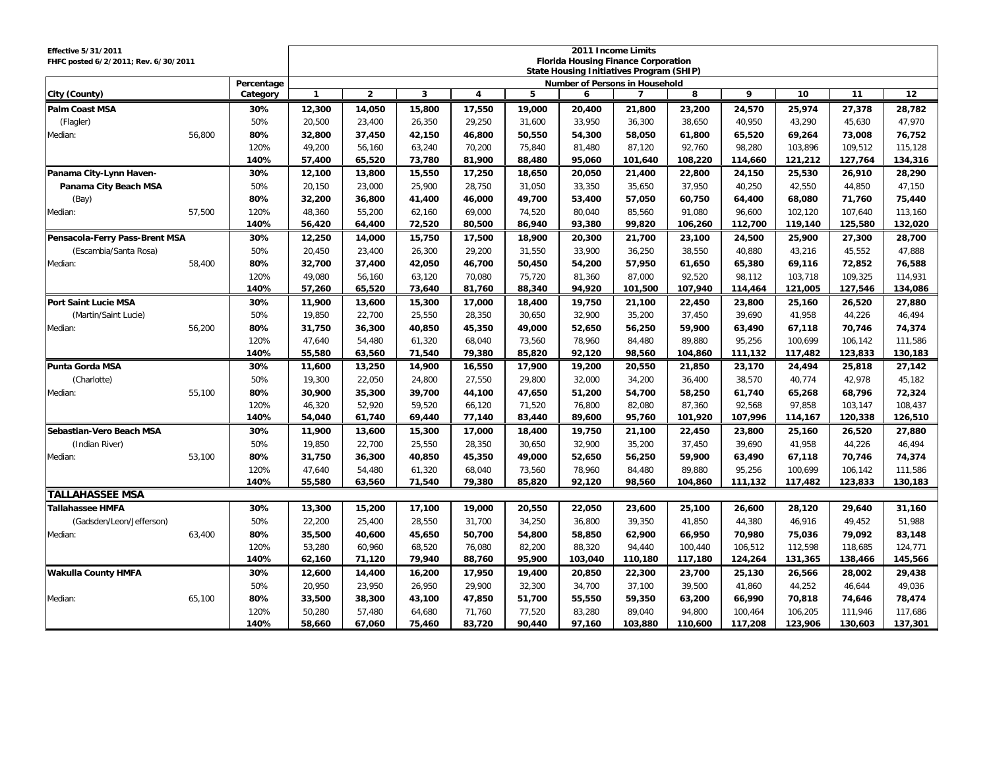| <b>Effective 5/31/2011</b><br>FHFC posted 6/2/2011; Rev. 6/30/2011 |        |            | 2011 Income Limits<br><b>Florida Housing Finance Corporation</b><br>State Housing Initiatives Program (SHIP) |                |        |                         |        |         |                |         |         |         |         |         |  |
|--------------------------------------------------------------------|--------|------------|--------------------------------------------------------------------------------------------------------------|----------------|--------|-------------------------|--------|---------|----------------|---------|---------|---------|---------|---------|--|
|                                                                    |        | Percentage | Number of Persons in Household                                                                               |                |        |                         |        |         |                |         |         |         |         |         |  |
| City (County)                                                      |        | Category   | $\mathbf{1}$                                                                                                 | $\overline{2}$ | 3      | $\overline{\mathbf{4}}$ | 5      | 6       | $\overline{7}$ | 8       | 9       | 10      | 11      | 12      |  |
| <b>Palm Coast MSA</b>                                              |        | 30%        | 12,300                                                                                                       | 14,050         | 15,800 | 17,550                  | 19,000 | 20,400  | 21,800         | 23,200  | 24,570  | 25,974  | 27,378  | 28,782  |  |
| (Flagler)                                                          |        | 50%        | 20,500                                                                                                       | 23,400         | 26,350 | 29,250                  | 31,600 | 33,950  | 36,300         | 38,650  | 40,950  | 43,290  | 45,630  | 47,970  |  |
| Median:                                                            | 56,800 | 80%        | 32,800                                                                                                       | 37,450         | 42,150 | 46,800                  | 50,550 | 54,300  | 58,050         | 61,800  | 65,520  | 69,264  | 73,008  | 76,752  |  |
|                                                                    |        | 120%       | 49,200                                                                                                       | 56,160         | 63,240 | 70,200                  | 75,840 | 81,480  | 87,120         | 92,760  | 98,280  | 103,896 | 109,512 | 115,128 |  |
|                                                                    |        | 140%       | 57,400                                                                                                       | 65,520         | 73,780 | 81,900                  | 88,480 | 95,060  | 101,640        | 108,220 | 114,660 | 121,212 | 127,764 | 134,316 |  |
| Panama City-Lynn Haven-                                            |        | 30%        | 12,100                                                                                                       | 13,800         | 15,550 | 17,250                  | 18,650 | 20,050  | 21,400         | 22,800  | 24,150  | 25,530  | 26,910  | 28,290  |  |
| Panama City Beach MSA                                              |        | 50%        | 20,150                                                                                                       | 23,000         | 25,900 | 28,750                  | 31,050 | 33,350  | 35,650         | 37,950  | 40,250  | 42,550  | 44,850  | 47,150  |  |
| (Bay)                                                              |        | 80%        | 32,200                                                                                                       | 36,800         | 41,400 | 46,000                  | 49,700 | 53,400  | 57,050         | 60,750  | 64,400  | 68,080  | 71,760  | 75,440  |  |
| Median:                                                            | 57,500 | 120%       | 48,360                                                                                                       | 55,200         | 62,160 | 69,000                  | 74,520 | 80.040  | 85.560         | 91,080  | 96,600  | 102,120 | 107,640 | 113,160 |  |
|                                                                    |        | 140%       | 56,420                                                                                                       | 64,400         | 72,520 | 80,500                  | 86,940 | 93,380  | 99,820         | 106,260 | 112,700 | 119,140 | 125,580 | 132,020 |  |
| Pensacola-Ferry Pass-Brent MSA                                     |        | 30%        | 12,250                                                                                                       | 14,000         | 15,750 | 17,500                  | 18,900 | 20,300  | 21,700         | 23,100  | 24,500  | 25,900  | 27,300  | 28,700  |  |
| (Escambia/Santa Rosa)                                              |        | 50%        | 20,450                                                                                                       | 23.400         | 26,300 | 29,200                  | 31,550 | 33.900  | 36,250         | 38,550  | 40,880  | 43,216  | 45,552  | 47,888  |  |
| Median:                                                            | 58,400 | 80%        | 32,700                                                                                                       | 37,400         | 42,050 | 46,700                  | 50,450 | 54,200  | 57,950         | 61,650  | 65,380  | 69,116  | 72,852  | 76,588  |  |
|                                                                    |        | 120%       | 49,080                                                                                                       | 56,160         | 63,120 | 70,080                  | 75,720 | 81,360  | 87,000         | 92,520  | 98,112  | 103,718 | 109,325 | 114,931 |  |
|                                                                    |        | 140%       | 57,260                                                                                                       | 65,520         | 73,640 | 81,760                  | 88,340 | 94,920  | 101,500        | 107,940 | 114,464 | 121,005 | 127,546 | 134,086 |  |
| <b>Port Saint Lucie MSA</b>                                        |        | 30%        | 11,900                                                                                                       | 13,600         | 15,300 | 17,000                  | 18,400 | 19,750  | 21,100         | 22,450  | 23,800  | 25,160  | 26,520  | 27,880  |  |
| (Martin/Saint Lucie)                                               |        | 50%        | 19,850                                                                                                       | 22.700         | 25,550 | 28.350                  | 30.650 | 32.900  | 35,200         | 37,450  | 39.690  | 41,958  | 44.226  | 46,494  |  |
| Median:                                                            | 56,200 | 80%        | 31,750                                                                                                       | 36,300         | 40,850 | 45,350                  | 49,000 | 52,650  | 56,250         | 59,900  | 63,490  | 67,118  | 70,746  | 74,374  |  |
|                                                                    |        | 120%       | 47,640                                                                                                       | 54,480         | 61,320 | 68,040                  | 73,560 | 78,960  | 84,480         | 89,880  | 95,256  | 100,699 | 106.142 | 111,586 |  |
|                                                                    |        | 140%       | 55,580                                                                                                       | 63,560         | 71,540 | 79,380                  | 85,820 | 92,120  | 98,560         | 104,860 | 111,132 | 117,482 | 123,833 | 130,183 |  |
| <b>Punta Gorda MSA</b>                                             |        | 30%        | 11,600                                                                                                       | 13,250         | 14,900 | 16,550                  | 17,900 | 19,200  | 20,550         | 21,850  | 23,170  | 24,494  | 25,818  | 27,142  |  |
| (Charlotte)                                                        |        | 50%        | 19,300                                                                                                       | 22,050         | 24,800 | 27,550                  | 29,800 | 32,000  | 34,200         | 36,400  | 38,570  | 40,774  | 42,978  | 45,182  |  |
| Median:                                                            | 55,100 | 80%        | 30,900                                                                                                       | 35,300         | 39,700 | 44,100                  | 47,650 | 51,200  | 54,700         | 58,250  | 61,740  | 65,268  | 68,796  | 72,324  |  |
|                                                                    |        | 120%       | 46,320                                                                                                       | 52,920         | 59,520 | 66,120                  | 71,520 | 76,800  | 82,080         | 87,360  | 92,568  | 97,858  | 103,147 | 108,437 |  |
|                                                                    |        | 140%       | 54,040                                                                                                       | 61,740         | 69,440 | 77,140                  | 83,440 | 89,600  | 95,760         | 101,920 | 107,996 | 114,167 | 120,338 | 126,510 |  |
| Sebastian-Vero Beach MSA                                           |        | 30%        | 11,900                                                                                                       | 13,600         | 15,300 | 17,000                  | 18,400 | 19,750  | 21,100         | 22,450  | 23,800  | 25,160  | 26,520  | 27,880  |  |
| (Indian River)                                                     |        | 50%        | 19,850                                                                                                       | 22,700         | 25,550 | 28,350                  | 30,650 | 32,900  | 35,200         | 37,450  | 39,690  | 41,958  | 44,226  | 46,494  |  |
| Median:                                                            | 53,100 | 80%        | 31,750                                                                                                       | 36,300         | 40,850 | 45,350                  | 49,000 | 52,650  | 56,250         | 59,900  | 63,490  | 67,118  | 70.746  | 74,374  |  |
|                                                                    |        | 120%       | 47,640                                                                                                       | 54,480         | 61,320 | 68,040                  | 73,560 | 78,960  | 84,480         | 89,880  | 95.256  | 100,699 | 106,142 | 111,586 |  |
|                                                                    |        | 140%       | 55,580                                                                                                       | 63,560         | 71,540 | 79,380                  | 85,820 | 92,120  | 98,560         | 104,860 | 111,132 | 117,482 | 123,833 | 130,183 |  |
| <b>TALLAHASSEE MSA</b>                                             |        |            |                                                                                                              |                |        |                         |        |         |                |         |         |         |         |         |  |
| <b>Tallahassee HMFA</b>                                            |        | 30%        | 13,300                                                                                                       | 15,200         | 17,100 | 19,000                  | 20,550 | 22,050  | 23,600         | 25,100  | 26,600  | 28,120  | 29,640  | 31,160  |  |
| (Gadsden/Leon/Jefferson)                                           |        | 50%        | 22.200                                                                                                       | 25.400         | 28.550 | 31.700                  | 34,250 | 36.800  | 39.350         | 41,850  | 44,380  | 46.916  | 49.452  | 51,988  |  |
| Median:                                                            | 63,400 | 80%        | 35,500                                                                                                       | 40,600         | 45,650 | 50,700                  | 54,800 | 58,850  | 62,900         | 66,950  | 70,980  | 75,036  | 79,092  | 83,148  |  |
|                                                                    |        | 120%       | 53,280                                                                                                       | 60,960         | 68,520 | 76,080                  | 82,200 | 88,320  | 94,440         | 100,440 | 106,512 | 112,598 | 118,685 | 124,771 |  |
|                                                                    |        | 140%       | 62,160                                                                                                       | 71,120         | 79,940 | 88,760                  | 95,900 | 103,040 | 110,180        | 117,180 | 124,264 | 131,365 | 138,466 | 145,566 |  |
| <b>Wakulla County HMFA</b>                                         |        | 30%        | 12,600                                                                                                       | 14,400         | 16,200 | 17,950                  | 19,400 | 20,850  | 22,300         | 23,700  | 25,130  | 26,566  | 28,002  | 29,438  |  |
|                                                                    |        | 50%        | 20,950                                                                                                       | 23,950         | 26,950 | 29,900                  | 32,300 | 34,700  | 37,100         | 39,500  | 41,860  | 44,252  | 46,644  | 49,036  |  |
| Median:                                                            | 65,100 | 80%        | 33,500                                                                                                       | 38,300         | 43,100 | 47,850                  | 51,700 | 55,550  | 59,350         | 63,200  | 66,990  | 70,818  | 74,646  | 78,474  |  |
|                                                                    |        | 120%       | 50.280                                                                                                       | 57.480         | 64.680 | 71,760                  | 77,520 | 83,280  | 89.040         | 94.800  | 100.464 | 106,205 | 111.946 | 117,686 |  |
|                                                                    |        | 140%       | 58,660                                                                                                       | 67,060         | 75,460 | 83,720                  | 90.440 | 97,160  | 103,880        | 110,600 | 117,208 | 123,906 | 130.603 | 137,301 |  |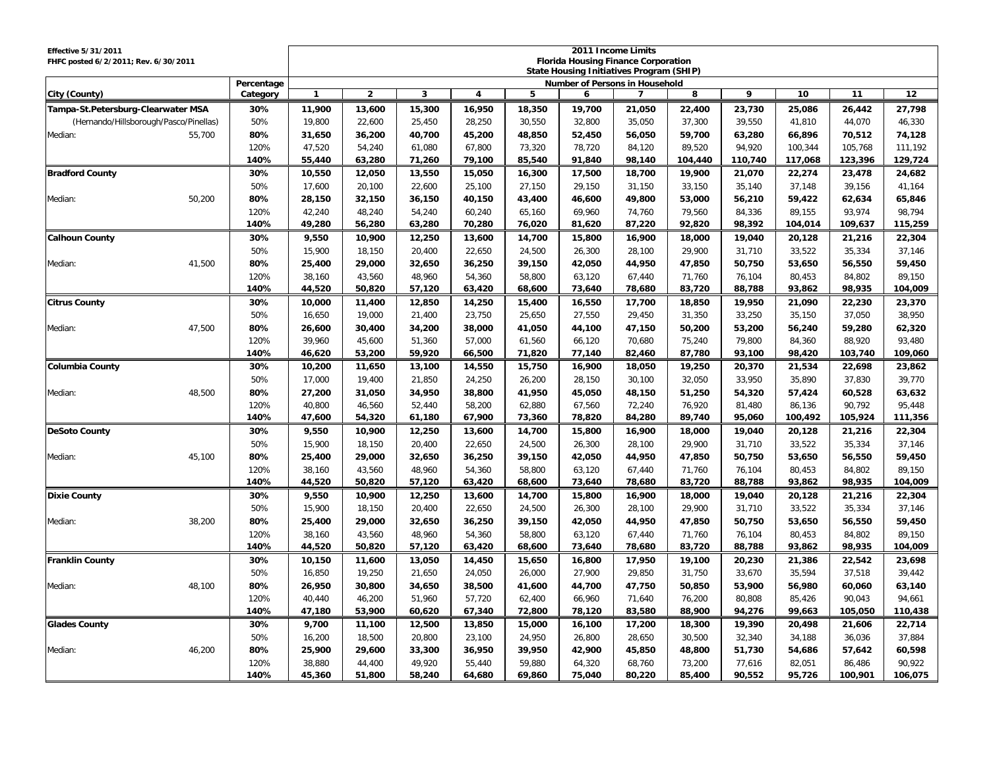| <b>Effective 5/31/2011</b><br>FHFC posted 6/2/2011; Rev. 6/30/2011 | 2011 Income Limits<br><b>Florida Housing Finance Corporation</b><br><b>State Housing Initiatives Program (SHIP)</b><br>Number of Persons in Household |                  |                  |                  |                  |                  |                  |                  |                  |                  |                   |  |
|--------------------------------------------------------------------|-------------------------------------------------------------------------------------------------------------------------------------------------------|------------------|------------------|------------------|------------------|------------------|------------------|------------------|------------------|------------------|-------------------|--|
| Percentage<br>City (County)<br>Category                            | $\overline{2}$<br>$\mathbf{1}$                                                                                                                        | 3                | $\overline{4}$   | 5                | 6                | 7                | 8                | 9                | 10               | 11               | 12                |  |
| Tampa-St.Petersburg-Clearwater MSA<br>11,900<br>30%                | 13,600                                                                                                                                                | 15,300           | 16,950           | 18,350           | 19,700           | 21,050           | 22,400           | 23,730           | 25,086           | 26,442           | 27,798            |  |
| (Hernando/Hillsborough/Pasco/Pinellas)<br>50%<br>19,800            | 22,600                                                                                                                                                | 25,450           | 28,250           | 30,550           | 32,800           | 35,050           | 37,300           | 39,550           | 41,810           | 44,070           | 46,330            |  |
| 80%<br>Median:<br>55,700<br>31,650                                 | 36,200                                                                                                                                                | 40,700           | 45,200           | 48,850           | 52,450           | 56,050           | 59,700           | 63,280           | 66,896           | 70,512           | 74,128            |  |
| 120%<br>47,520                                                     | 54,240                                                                                                                                                | 61,080           | 67,800           | 73,320           | 78,720           | 84,120           | 89,520           | 94,920           | 100,344          | 105,768          | 111,192           |  |
| 140%<br>55,440                                                     | 63,280                                                                                                                                                | 71,260           | 79,100           | 85,540           | 91,840           | 98,140           | 104,440          | 110,740          | 117,068          | 123,396          | 129,724           |  |
| 30%<br>10,550<br><b>Bradford County</b>                            | 12,050                                                                                                                                                | 13,550           | 15,050           | 16,300           | 17,500           | 18,700           | 19,900           | 21,070           | 22,274           | 23,478           | 24,682            |  |
| 50%<br>17,600                                                      | 20,100                                                                                                                                                | 22,600           | 25,100           | 27,150           | 29,150           | 31,150           | 33,150           | 35,140           | 37,148           | 39,156           | 41,164            |  |
| 50,200<br>80%<br>28,150<br>Median:                                 | 32,150                                                                                                                                                | 36,150           | 40,150           | 43,400           | 46,600           | 49,800           | 53,000           | 56,210           | 59,422           | 62,634           | 65,846            |  |
| 120%<br>42,240                                                     | 48,240                                                                                                                                                | 54,240           | 60,240           | 65,160           | 69,960           | 74,760           | 79,560           | 84,336           | 89,155           | 93,974           | 98,794            |  |
| 140%<br>49,280                                                     | 56,280                                                                                                                                                | 63,280           | 70,280           | 76,020           | 81,620           | 87,220           | 92,820           | 98,392           | 104,014          | 109,637          | 115,259           |  |
| <b>Calhoun County</b><br>30%<br>9,550                              | 10,900                                                                                                                                                | 12,250           | 13,600           | 14,700           | 15,800           | 16,900           | 18,000           | 19,040           | 20,128           | 21,216           | 22,304            |  |
| 50%<br>15,900                                                      | 18,150                                                                                                                                                | 20,400           | 22,650           | 24,500           | 26,300           | 28,100           | 29,900           | 31,710           | 33,522           | 35,334           | 37,146            |  |
| 41,500<br>80%<br>25,400<br>Median:                                 | 29,000                                                                                                                                                | 32,650           | 36,250           | 39,150           | 42,050           | 44,950           | 47,850           | 50.750           | 53,650           | 56,550           | 59,450            |  |
| 120%<br>38,160                                                     | 43,560                                                                                                                                                | 48,960           | 54,360           | 58,800           | 63,120           | 67,440           | 71,760           | 76,104           | 80,453           | 84,802           | 89,150            |  |
| 140%<br>44,520                                                     | 50,820                                                                                                                                                | 57,120           | 63,420           | 68,600           | 73,640           | 78,680           | 83,720           | 88,788           | 93,862           | 98,935           | 104,009           |  |
| 30%<br><b>Citrus County</b><br>10,000                              | 11,400                                                                                                                                                | 12,850           | 14,250           | 15,400           | 16,550           | 17.700           | 18,850           | 19,950           | 21,090           | 22,230           | 23,370            |  |
| 50%<br>16,650                                                      | 19,000                                                                                                                                                | 21,400           | 23,750           | 25,650           | 27,550           | 29,450           | 31,350           | 33,250           | 35,150           | 37,050           | 38,950            |  |
| 47,500<br>80%<br>26,600<br>Median:                                 | 30,400                                                                                                                                                | 34,200           | 38,000           | 41,050           | 44,100           | 47,150           | 50,200           | 53,200           | 56,240           | 59,280           | 62,320            |  |
| 120%<br>39,960                                                     | 45,600                                                                                                                                                | 51,360           | 57,000           | 61,560           | 66,120           | 70,680           | 75,240           | 79,800           | 84,360           | 88,920           | 93,480            |  |
| 140%<br>46,620                                                     | 53,200                                                                                                                                                | 59,920           | 66,500           | 71,820           | 77,140           | 82,460           | 87,780           | 93,100           | 98,420           | 103,740          | 109,060           |  |
| 30%<br><b>Columbia County</b><br>10,200                            | 11,650                                                                                                                                                | 13,100           | 14,550           | 15,750           | 16,900           | 18,050           | 19,250           | 20,370           | 21,534           | 22,698           | 23,862            |  |
| 50%<br>17,000                                                      | 19,400                                                                                                                                                | 21,850           | 24,250           | 26,200           | 28,150           | 30,100           | 32,050           | 33,950           | 35,890           | 37,830           | 39,770            |  |
| 48.500<br>27,200<br>Median:<br>80%                                 | 31.050                                                                                                                                                | 34,950           | 38,800           | 41,950           | 45,050           | 48,150           | 51,250           | 54,320           | 57,424           | 60,528           | 63,632            |  |
| 120%<br>40,800                                                     | 46,560                                                                                                                                                | 52,440           | 58,200           | 62,880           | 67,560           | 72,240           | 76,920           | 81,480           | 86,136           | 90,792           | 95,448            |  |
| 140%<br>47,600                                                     | 54,320                                                                                                                                                | 61,180           | 67,900           | 73,360           | 78,820           | 84,280           | 89,740           | 95,060           | 100,492          | 105,924          | 111,356           |  |
| 9,550<br><b>DeSoto County</b><br>30%                               | 10,900                                                                                                                                                | 12,250           | 13,600           | 14,700           | 15,800           | 16,900           | 18,000           | 19,040           | 20,128           | 21,216           | 22,304            |  |
| 50%<br>15,900                                                      | 18,150                                                                                                                                                | 20,400           | 22,650           | 24,500           | 26,300           | 28,100           | 29,900           | 31,710           | 33,522           | 35,334           | 37,146            |  |
| Median:<br>45,100<br>80%<br>25,400                                 | 29,000                                                                                                                                                | 32,650           | 36,250           | 39,150           | 42,050           | 44,950           | 47,850           | 50,750           | 53,650           | 56,550           | 59,450            |  |
| 120%<br>38,160                                                     | 43,560                                                                                                                                                | 48,960           | 54,360           | 58,800           | 63,120           | 67,440           | 71,760           | 76,104           | 80,453           | 84,802           | 89,150            |  |
| 140%<br>44,520                                                     | 50,820                                                                                                                                                | 57,120           | 63,420           | 68,600           | 73,640           | 78,680           | 83,720           | 88,788           | 93,862           | 98,935           | 104,009           |  |
| <b>Dixie County</b><br>30%<br>9,550                                | 10,900                                                                                                                                                | 12,250           | 13,600           | 14,700           | 15,800           | 16,900           | 18,000           | 19,040           | 20,128           | 21,216           | 22,304            |  |
| 50%<br>15,900                                                      | 18,150                                                                                                                                                | 20,400           | 22,650           | 24,500           | 26,300           | 28,100           | 29,900           | 31,710           | 33,522           | 35,334           | 37,146            |  |
| 38,200<br>80%<br>25,400<br>Median:                                 | 29,000                                                                                                                                                | 32,650           | 36,250           | 39,150           | 42,050           | 44,950           | 47,850           | 50,750           | 53,650           | 56,550           | 59,450            |  |
| 120%<br>38,160<br>140%<br>44,520                                   | 43,560<br>50,820                                                                                                                                      | 48,960<br>57,120 | 54,360<br>63,420 | 58,800<br>68,600 | 63,120<br>73,640 | 67,440<br>78,680 | 71,760<br>83,720 | 76,104<br>88,788 | 80,453<br>93,862 | 84,802<br>98,935 | 89,150<br>104,009 |  |
|                                                                    |                                                                                                                                                       |                  |                  |                  |                  |                  |                  |                  |                  |                  |                   |  |
| <b>Franklin County</b><br>30%<br>10,150<br>50%<br>16,850           | 11,600<br>19,250                                                                                                                                      | 13,050<br>21,650 | 14,450<br>24,050 | 15,650<br>26,000 | 16,800<br>27,900 | 17,950<br>29,850 | 19,100<br>31,750 | 20,230<br>33,670 | 21,386<br>35,594 | 22,542<br>37,518 | 23,698<br>39,442  |  |
| 80%                                                                |                                                                                                                                                       |                  |                  | 41,600           |                  | 47,750           |                  | 53,900           |                  | 60,060           |                   |  |
| 48,100<br>26,950<br>Median:<br>120%<br>40,440                      | 30,800<br>46,200                                                                                                                                      | 34,650<br>51,960 | 38,500<br>57,720 | 62,400           | 44,700<br>66,960 | 71,640           | 50,850<br>76,200 | 80,808           | 56,980<br>85,426 | 90,043           | 63,140<br>94,661  |  |
| 140%<br>47,180                                                     | 53,900                                                                                                                                                | 60,620           | 67,340           | 72,800           | 78,120           | 83,580           | 88,900           | 94,276           | 99,663           | 105,050          | 110,438           |  |
| <b>Glades County</b><br>30%<br>9,700                               | 11,100                                                                                                                                                | 12,500           | 13,850           | 15,000           | 16,100           | 17,200           | 18,300           | 19,390           | 20,498           | 21,606           | 22,714            |  |
| 50%<br>16,200                                                      |                                                                                                                                                       | 20,800           | 23,100           | 24,950           | 26,800           | 28,650           | 30,500           | 32,340           | 34,188           | 36,036           | 37,884            |  |
| 46,200<br>80%<br>Median:                                           |                                                                                                                                                       |                  |                  |                  |                  |                  |                  |                  |                  |                  |                   |  |
|                                                                    | 18,500                                                                                                                                                |                  |                  |                  |                  |                  |                  |                  |                  |                  |                   |  |
| 38,880<br>120%                                                     | 25,900<br>29,600<br>44,400                                                                                                                            | 33,300<br>49,920 | 36,950<br>55,440 | 39,950<br>59,880 | 42,900<br>64,320 | 45,850<br>68,760 | 48,800<br>73,200 | 51,730<br>77,616 | 54,686<br>82,051 | 57,642<br>86,486 | 60,598<br>90,922  |  |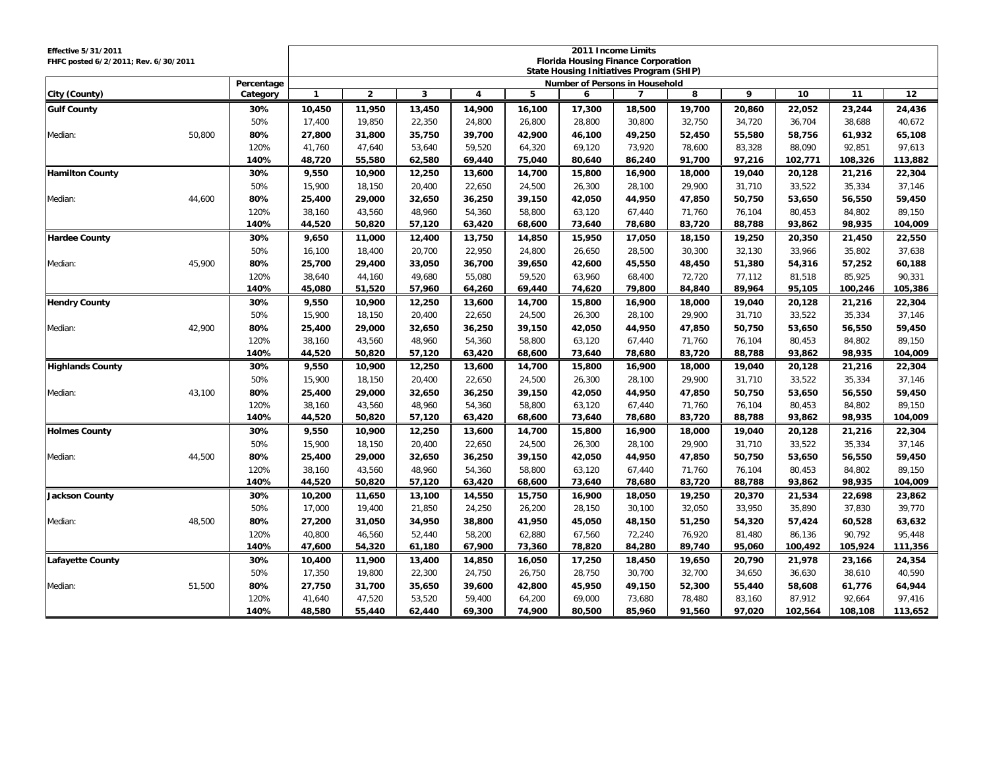| <b>Effective 5/31/2011</b><br>FHFC posted 6/2/2011; Rev. 6/30/2011 |        |                        | 2011 Income Limits<br><b>Florida Housing Finance Corporation</b> |                  |                  |                         |                  |                                                 |                  |                  |                  |                  |                  |                  |
|--------------------------------------------------------------------|--------|------------------------|------------------------------------------------------------------|------------------|------------------|-------------------------|------------------|-------------------------------------------------|------------------|------------------|------------------|------------------|------------------|------------------|
|                                                                    |        |                        |                                                                  |                  |                  |                         |                  | <b>State Housing Initiatives Program (SHIP)</b> |                  |                  |                  |                  |                  |                  |
| City (County)                                                      |        | Percentage<br>Category | $\mathbf{1}$                                                     | $\overline{2}$   | 3                | $\overline{\mathbf{4}}$ | 5                | <b>Number of Persons in Household</b><br>6      | $\overline{7}$   | 8                | 9                | 10               | 11               | 12               |
| <b>Gulf County</b>                                                 |        | 30%                    | 10,450                                                           | 11,950           | 13,450           | 14,900                  | 16,100           | 17,300                                          | 18,500           | 19,700           | 20,860           | 22,052           | 23,244           | 24,436           |
|                                                                    |        | 50%                    | 17,400                                                           | 19,850           | 22,350           | 24,800                  | 26,800           | 28,800                                          | 30,800           | 32,750           | 34,720           | 36,704           | 38,688           | 40,672           |
| Median:                                                            | 50,800 | 80%                    | 27,800                                                           | 31,800           | 35,750           | 39,700                  | 42,900           | 46,100                                          | 49,250           | 52,450           | 55,580           | 58,756           | 61,932           | 65,108           |
|                                                                    |        | 120%                   | 41,760                                                           | 47,640           | 53,640           | 59,520                  | 64,320           | 69,120                                          | 73,920           | 78,600           | 83,328           | 88,090           | 92,851           | 97,613           |
|                                                                    |        | 140%                   | 48,720                                                           | 55,580           | 62,580           | 69,440                  | 75,040           | 80,640                                          | 86,240           | 91,700           | 97,216           | 102,771          | 108,326          | 113,882          |
| <b>Hamilton County</b>                                             |        | 30%                    | 9,550                                                            | 10,900           | 12,250           | 13,600                  | 14,700           | 15,800                                          | 16,900           | 18,000           | 19,040           | 20,128           | 21,216           | 22,304           |
|                                                                    |        | 50%                    | 15,900                                                           | 18,150           | 20,400           | 22,650                  | 24,500           | 26,300                                          | 28,100           | 29,900           | 31,710           | 33,522           | 35,334           | 37,146           |
| Median:                                                            | 44,600 | 80%                    | 25,400                                                           | 29,000           | 32,650           | 36,250                  | 39,150           | 42,050                                          | 44,950           | 47,850           | 50,750           | 53,650           | 56,550           | 59,450           |
|                                                                    |        | 120%                   | 38,160                                                           | 43,560           | 48.960           | 54,360                  | 58,800           | 63,120                                          | 67.440           | 71,760           | 76.104           | 80,453           | 84.802           | 89,150           |
|                                                                    |        | 140%                   | 44,520                                                           | 50,820           | 57,120           | 63,420                  | 68,600           | 73,640                                          | 78,680           | 83,720           | 88,788           | 93,862           | 98,935           | 104,009          |
| <b>Hardee County</b>                                               |        | 30%                    | 9,650                                                            | 11,000           | 12,400           | 13,750                  | 14,850           | 15,950                                          | 17,050           | 18,150           | 19,250           | 20,350           | 21,450           | 22,550           |
|                                                                    |        | 50%                    | 16,100                                                           | 18,400           | 20,700           | 22,950                  | 24,800           | 26,650                                          | 28,500           | 30,300           | 32,130           | 33,966           | 35,802           | 37,638           |
| Median:                                                            | 45,900 | 80%                    | 25,700                                                           | 29,400           | 33,050           | 36,700                  | 39,650           | 42,600                                          | 45,550           | 48,450           | 51,380           | 54,316           | 57,252           | 60,188           |
|                                                                    |        | 120%                   | 38,640                                                           | 44,160           | 49,680           | 55,080                  | 59,520           | 63,960                                          | 68,400           | 72,720           | 77,112           | 81,518           | 85,925           | 90,331           |
|                                                                    |        | 140%                   | 45,080                                                           | 51,520           | 57,960           | 64,260                  | 69,440           | 74,620                                          | 79,800           | 84,840           | 89,964           | 95,105           | 100,246          | 105,386          |
| <b>Hendry County</b>                                               |        | 30%                    | 9,550                                                            | 10,900           | 12,250           | 13,600                  | 14,700           | 15,800                                          | 16,900           | 18,000           | 19,040           | 20,128           | 21,216           | 22,304           |
|                                                                    |        | 50%                    | 15.900                                                           | 18.150           | 20.400           | 22.650                  | 24.500           | 26.300                                          | 28.100           | 29.900           | 31.710           | 33.522           | 35.334           | 37.146           |
| Median:                                                            | 42,900 | 80%                    | 25,400                                                           | 29,000           | 32,650           | 36,250                  | 39,150           | 42,050                                          | 44,950           | 47,850           | 50,750           | 53,650           | 56,550           | 59,450           |
|                                                                    |        | 120%                   | 38,160                                                           | 43,560           | 48,960           | 54,360                  | 58,800           | 63,120                                          | 67,440           | 71,760           | 76,104           | 80,453           | 84,802           | 89,150           |
|                                                                    |        | 140%                   | 44.520                                                           | 50.820           | 57.120           | 63,420                  | 68,600           | 73.640                                          | 78,680           | 83.720           | 88.788           | 93.862           | 98.935           | 104.009          |
| <b>Highlands County</b>                                            |        | 30%                    | 9,550                                                            | 10,900           | 12,250           | 13,600                  | 14,700           | 15,800                                          | 16,900           | 18,000           | 19,040           | 20,128           | 21,216           | 22,304           |
|                                                                    |        | 50%                    | 15,900                                                           | 18,150           | 20,400           | 22,650                  | 24,500           | 26,300                                          | 28,100           | 29,900           | 31,710           | 33,522           | 35,334           | 37,146           |
| Median:                                                            | 43.100 | 80%                    | 25,400                                                           | 29,000           | 32,650           | 36,250                  | 39,150           | 42,050                                          | 44,950           | 47,850           | 50,750           | 53,650           | 56,550           | 59,450           |
|                                                                    |        | 120%                   | 38,160                                                           | 43,560           | 48,960           | 54,360                  | 58,800           | 63,120                                          | 67,440           | 71,760           | 76,104           | 80,453           | 84,802           | 89,150           |
|                                                                    |        | 140%                   | 44,520                                                           | 50,820           | 57,120           | 63,420                  | 68,600           | 73,640                                          | 78,680           | 83,720           | 88,788           | 93,862           | 98,935           | 104,009          |
| <b>Holmes County</b>                                               |        | 30%                    | 9,550                                                            | 10,900           | 12,250           | 13,600                  | 14,700           | 15,800                                          | 16,900           | 18,000           | 19,040           | 20,128           | 21,216           | 22,304           |
|                                                                    |        | 50%                    | 15,900                                                           | 18,150           | 20,400           | 22,650                  | 24,500           | 26,300                                          | 28,100           | 29,900           | 31,710           | 33,522           | 35,334           | 37,146           |
| Median:                                                            | 44,500 | 80%                    | 25,400                                                           | 29,000           | 32,650           | 36,250                  | 39,150           | 42,050                                          | 44,950           | 47,850           | 50,750           | 53,650           | 56,550           | 59,450           |
|                                                                    |        | 120%<br>140%           | 38,160                                                           | 43,560           | 48,960           | 54,360                  | 58,800           | 63,120                                          | 67,440           | 71,760           | 76,104           | 80,453           | 84,802           | 89,150           |
|                                                                    |        |                        | 44,520                                                           | 50,820           | 57,120           | 63,420                  | 68,600           | 73,640                                          | 78,680           | 83,720           | 88,788           | 93,862           | 98,935           | 104,009          |
| <b>Jackson County</b>                                              |        | 30%<br>50%             | 10,200<br>17,000                                                 | 11,650<br>19,400 | 13,100<br>21,850 | 14,550<br>24,250        | 15,750<br>26,200 | 16,900<br>28,150                                | 18,050<br>30,100 | 19,250<br>32,050 | 20,370<br>33,950 | 21,534<br>35,890 | 22,698<br>37,830 | 23,862<br>39,770 |
| Median:                                                            | 48,500 | 80%                    | 27,200                                                           | 31,050           | 34,950           | 38,800                  | 41,950           | 45,050                                          | 48,150           | 51,250           | 54,320           | 57,424           | 60,528           | 63,632           |
|                                                                    |        | 120%                   | 40,800                                                           | 46,560           | 52,440           | 58,200                  | 62,880           | 67,560                                          | 72,240           | 76,920           | 81,480           | 86,136           | 90,792           | 95,448           |
|                                                                    |        | 140%                   | 47,600                                                           | 54,320           | 61,180           | 67,900                  | 73,360           | 78,820                                          | 84,280           | 89,740           | 95,060           | 100,492          | 105,924          | 111,356          |
| Lafayette County                                                   |        | 30%                    | 10,400                                                           | 11,900           | 13,400           | 14,850                  | 16,050           | 17,250                                          | 18,450           | 19,650           | 20,790           | 21,978           | 23,166           | 24,354           |
|                                                                    |        | 50%                    | 17,350                                                           | 19,800           | 22,300           | 24,750                  | 26,750           | 28.750                                          | 30.700           | 32,700           | 34,650           | 36,630           | 38,610           | 40,590           |
| Median:                                                            | 51,500 | 80%                    | 27,750                                                           | 31,700           | 35,650           | 39,600                  | 42,800           | 45,950                                          | 49,150           | 52,300           | 55,440           | 58,608           | 61,776           | 64,944           |
|                                                                    |        | 120%                   | 41,640                                                           | 47,520           | 53,520           | 59,400                  | 64,200           | 69,000                                          | 73,680           | 78,480           | 83,160           | 87,912           | 92,664           | 97,416           |
|                                                                    |        | 140%                   | 48.580                                                           | 55,440           | 62,440           | 69,300                  | 74,900           | 80,500                                          | 85,960           | 91,560           | 97,020           | 102,564          | 108,108          | 113,652          |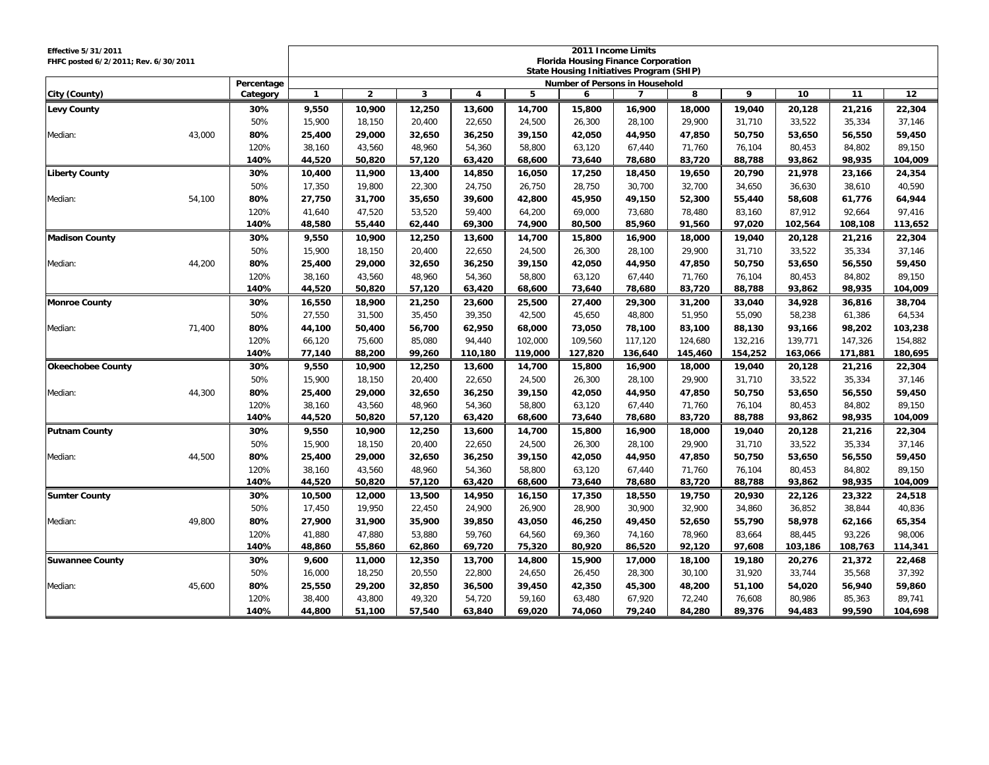| Effective 5/31/2011<br>FHFC posted 6/2/2011; Rev. 6/30/2011 |        |              | 2011 Income Limits<br><b>Florida Housing Finance Corporation</b><br>State Housing Initiatives Program (SHIP) |                  |                  |                         |                  |                                       |                  |                  |                  |                   |                  |                   |
|-------------------------------------------------------------|--------|--------------|--------------------------------------------------------------------------------------------------------------|------------------|------------------|-------------------------|------------------|---------------------------------------|------------------|------------------|------------------|-------------------|------------------|-------------------|
|                                                             |        | Percentage   |                                                                                                              |                  |                  |                         |                  | <b>Number of Persons in Household</b> |                  |                  |                  |                   |                  |                   |
| City (County)                                               |        | Category     | $\mathbf{1}$                                                                                                 | $\overline{2}$   | 3                | $\overline{\mathbf{4}}$ | 5                | 6                                     | $\overline{7}$   | 8                | 9                | 10                | 11               | 12                |
| <b>Levy County</b>                                          |        | 30%          | 9,550                                                                                                        | 10,900           | 12,250           | 13,600                  | 14,700           | 15,800                                | 16,900           | 18,000           | 19,040           | 20,128            | 21,216           | 22,304            |
|                                                             |        | 50%          | 15,900                                                                                                       | 18,150           | 20,400           | 22,650                  | 24,500           | 26,300                                | 28,100           | 29,900           | 31,710           | 33,522            | 35,334           | 37,146            |
| Median:                                                     | 43,000 | 80%          | 25,400                                                                                                       | 29,000           | 32,650           | 36,250                  | 39,150           | 42,050                                | 44,950           | 47,850           | 50,750           | 53,650            | 56,550           | 59,450            |
|                                                             |        | 120%         | 38,160                                                                                                       | 43,560           | 48,960           | 54,360                  | 58,800           | 63,120                                | 67,440           | 71,760           | 76,104           | 80,453            | 84,802           | 89,150            |
|                                                             |        | 140%         | 44,520                                                                                                       | 50,820           | 57,120           | 63,420                  | 68,600           | 73,640                                | 78,680           | 83,720           | 88,788           | 93,862            | 98,935           | 104,009           |
| <b>Liberty County</b>                                       |        | 30%          | 10,400                                                                                                       | 11,900           | 13,400           | 14,850                  | 16,050           | 17,250                                | 18,450           | 19,650           | 20,790           | 21,978            | 23,166           | 24,354            |
|                                                             |        | 50%          | 17,350                                                                                                       | 19,800           | 22,300           | 24,750                  | 26,750           | 28,750                                | 30,700           | 32,700           | 34,650           | 36,630            | 38,610           | 40,590            |
| Median:                                                     | 54,100 | 80%          | 27,750                                                                                                       | 31,700           | 35,650           | 39,600                  | 42,800           | 45,950                                | 49,150           | 52,300           | 55,440           | 58,608            | 61,776           | 64,944            |
|                                                             |        | 120%         | 41.640                                                                                                       | 47,520           | 53,520           | 59.400                  | 64,200           | 69.000                                | 73.680           | 78.480           | 83.160           | 87,912            | 92.664           | 97,416            |
|                                                             |        | 140%         | 48,580                                                                                                       | 55,440           | 62,440           | 69,300                  | 74,900           | 80,500                                | 85,960           | 91,560           | 97,020           | 102,564           | 108,108          | 113,652           |
| <b>Madison County</b>                                       |        | 30%          | 9,550                                                                                                        | 10,900           | 12,250           | 13,600                  | 14,700           | 15,800                                | 16,900           | 18,000           | 19,040           | 20,128            | 21,216           | 22,304            |
|                                                             |        | 50%          | 15,900                                                                                                       | 18,150           | 20,400           | 22,650                  | 24,500           | 26,300                                | 28,100           | 29,900           | 31,710           | 33,522            | 35,334           | 37,146            |
| Median:                                                     | 44,200 | 80%          | 25,400                                                                                                       | 29,000           | 32,650           | 36,250                  | 39,150           | 42,050                                | 44,950           | 47,850           | 50,750           | 53,650            | 56,550           | 59,450            |
|                                                             |        | 120%         | 38,160                                                                                                       | 43,560           | 48,960           | 54,360                  | 58,800           | 63,120                                | 67,440           | 71,760           | 76,104           | 80,453            | 84,802           | 89,150            |
|                                                             |        | 140%         | 44,520                                                                                                       | 50,820           | 57,120           | 63,420                  | 68,600           | 73,640                                | 78,680           | 83,720           | 88,788           | 93,862            | 98,935           | 104,009           |
| <b>Monroe County</b>                                        |        | 30%          | 16,550                                                                                                       | 18,900           | 21,250           | 23,600                  | 25,500           | 27,400                                | 29,300           | 31,200           | 33,040           | 34,928            | 36,816           | 38,704            |
|                                                             |        | 50%          | 27.550                                                                                                       | 31.500           | 35.450           | 39.350                  | 42.500           | 45.650                                | 48.800           | 51.950           | 55.090           | 58.238            | 61.386           | 64,534            |
| Median:                                                     | 71,400 | 80%          | 44,100                                                                                                       | 50,400           | 56,700           | 62,950                  | 68,000           | 73,050                                | 78,100           | 83,100           | 88,130           | 93,166            | 98,202           | 103,238           |
|                                                             |        | 120%         | 66,120                                                                                                       | 75,600           | 85,080           | 94,440                  | 102,000          | 109,560                               | 117,120          | 124,680          | 132,216          | 139,771           | 147,326          | 154,882           |
|                                                             |        | 140%         | 77.140                                                                                                       | 88,200           | 99.260           | 110,180                 | 119,000          | 127.820                               | 136,640          | 145,460          | 154,252          | 163,066           | 171.881          | 180,695           |
| <b>Okeechobee County</b>                                    |        | 30%          | 9,550                                                                                                        | 10,900           | 12,250           | 13,600                  | 14,700           | 15,800                                | 16,900           | 18,000           | 19,040           | 20,128            | 21,216           | 22,304            |
|                                                             |        | 50%          | 15,900                                                                                                       | 18,150           | 20,400           | 22,650                  | 24,500           | 26,300                                | 28,100           | 29,900           | 31,710           | 33,522            | 35,334           | 37,146            |
| Median:                                                     | 44.300 | 80%          | 25,400                                                                                                       | 29,000           | 32.650           | 36,250                  | 39,150           | 42,050                                | 44.950           | 47,850           | 50,750           | 53,650            | 56,550           | 59,450            |
|                                                             |        | 120%         | 38,160                                                                                                       | 43,560           | 48,960           | 54,360                  | 58,800           | 63,120                                | 67,440           | 71,760           | 76,104           | 80,453            | 84,802           | 89,150            |
|                                                             |        | 140%         | 44,520                                                                                                       | 50,820           | 57,120           | 63,420                  | 68,600           | 73,640                                | 78,680           | 83,720           | 88,788           | 93,862            | 98,935           | 104,009           |
| <b>Putnam County</b>                                        |        | 30%          | 9,550                                                                                                        | 10,900           | 12,250           | 13,600                  | 14,700           | 15,800                                | 16,900           | 18,000           | 19,040           | 20,128            | 21,216           | 22,304            |
|                                                             |        | 50%          | 15,900                                                                                                       | 18,150           | 20.400           | 22,650                  | 24,500           | 26,300                                | 28.100           | 29,900           | 31,710           | 33,522            | 35,334           | 37,146            |
| Median:                                                     | 44,500 | 80%          | 25,400                                                                                                       | 29,000           | 32,650           | 36,250                  | 39,150           | 42,050                                | 44,950           | 47,850           | 50,750           | 53,650            | 56,550           | 59,450            |
|                                                             |        | 120%<br>140% | 38,160                                                                                                       | 43,560           | 48,960           | 54,360                  | 58,800           | 63,120                                | 67,440           | 71,760           | 76,104           | 80,453            | 84,802           | 89,150            |
|                                                             |        |              | 44,520                                                                                                       | 50,820           | 57,120           | 63,420                  | 68,600           | 73,640                                | 78,680           | 83,720           | 88,788           | 93,862            | 98,935           | 104,009           |
| <b>Sumter County</b>                                        |        | 30%          | 10,500                                                                                                       | 12,000           | 13,500           | 14,950                  | 16,150           | 17,350                                | 18,550           | 19,750           | 20,930           | 22,126            | 23,322           | 24,518            |
|                                                             |        | 50%<br>80%   | 17,450                                                                                                       | 19,950           | 22,450           | 24,900                  | 26,900           | 28,900                                | 30,900           | 32,900           | 34,860           | 36,852            | 38,844           | 40,836            |
| Median:                                                     | 49,800 | 120%         | 27,900                                                                                                       | 31,900<br>47,880 | 35,900           | 39,850<br>59,760        | 43,050           | 46,250                                | 49,450           | 52,650           | 55,790           | 58,978            | 62,166<br>93,226 | 65,354            |
|                                                             |        | 140%         | 41,880<br>48,860                                                                                             | 55,860           | 53,880<br>62,860 | 69,720                  | 64,560<br>75,320 | 69,360<br>80,920                      | 74,160<br>86,520 | 78,960<br>92,120 | 83,664<br>97,608 | 88,445<br>103,186 | 108,763          | 98,006<br>114,341 |
|                                                             |        | 30%          | 9,600                                                                                                        | 11,000           | 12,350           | 13,700                  | 14,800           | 15,900                                | 17,000           | 18,100           | 19,180           | 20,276            | 21,372           |                   |
| <b>Suwannee County</b>                                      |        | 50%          | 16,000                                                                                                       | 18,250           | 20,550           | 22,800                  | 24,650           | 26,450                                | 28.300           | 30.100           | 31,920           | 33,744            | 35.568           | 22,468<br>37,392  |
| Median:                                                     | 45,600 | 80%          | 25,550                                                                                                       | 29,200           | 32,850           | 36,500                  | 39,450           | 42,350                                | 45,300           | 48,200           | 51,100           | 54,020            | 56,940           | 59,860            |
|                                                             |        | 120%         | 38,400                                                                                                       | 43,800           | 49,320           | 54,720                  | 59,160           | 63,480                                | 67,920           | 72,240           | 76,608           | 80,986            | 85,363           | 89,741            |
|                                                             |        | 140%         | 44.800                                                                                                       | 51,100           | 57,540           | 63,840                  | 69.020           | 74,060                                | 79,240           | 84,280           | 89,376           | 94,483            | 99,590           | 104,698           |